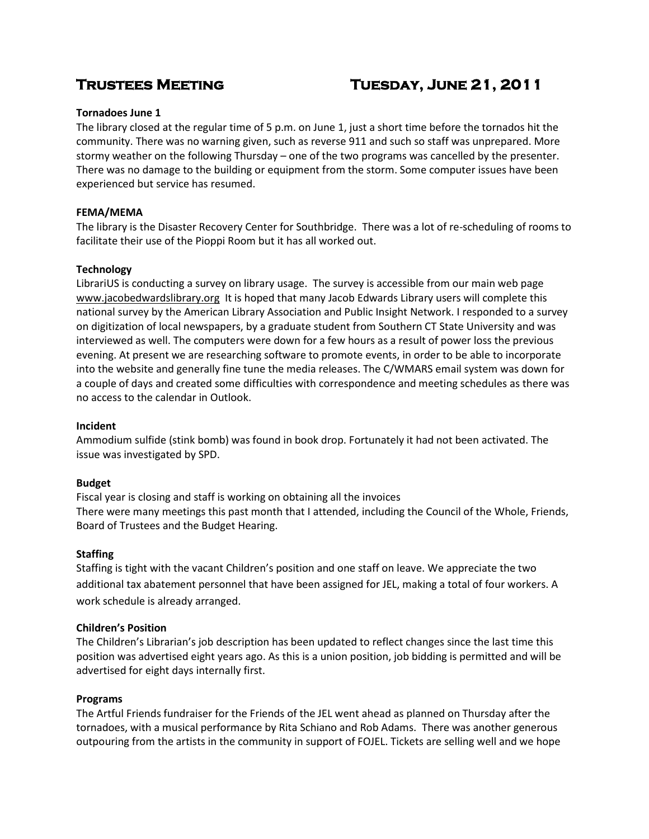# **Trustees Meeting Tuesday, June 21, 2011**

# **Tornadoes June 1**

The library closed at the regular time of 5 p.m. on June 1, just a short time before the tornados hit the community. There was no warning given, such as reverse 911 and such so staff was unprepared. More stormy weather on the following Thursday – one of the two programs was cancelled by the presenter. There was no damage to the building or equipment from the storm. Some computer issues have been experienced but service has resumed.

# **FEMA/MEMA**

The library is the Disaster Recovery Center for Southbridge. There was a lot of re-scheduling of rooms to facilitate their use of the Pioppi Room but it has all worked out.

# **Technology**

LibrariUS is conducting a survey on library usage. The survey is accessible from our main web page [www.jacobedwardslibrary.org](http://www.jacobedwardslibrary.org/) It is hoped that many Jacob Edwards Library users will complete this national survey by the American Library Association and Public Insight Network. I responded to a survey on digitization of local newspapers, by a graduate student from Southern CT State University and was interviewed as well. The computers were down for a few hours as a result of power loss the previous evening. At present we are researching software to promote events, in order to be able to incorporate into the website and generally fine tune the media releases. The C/WMARS email system was down for a couple of days and created some difficulties with correspondence and meeting schedules as there was no access to the calendar in Outlook.

### **Incident**

Ammodium sulfide (stink bomb) was found in book drop. Fortunately it had not been activated. The issue was investigated by SPD.

### **Budget**

Fiscal year is closing and staff is working on obtaining all the invoices There were many meetings this past month that I attended, including the Council of the Whole, Friends, Board of Trustees and the Budget Hearing.

# **Staffing**

Staffing is tight with the vacant Children's position and one staff on leave. We appreciate the two additional tax abatement personnel that have been assigned for JEL, making a total of four workers. A work schedule is already arranged.

### **Children's Position**

The Children's Librarian's job description has been updated to reflect changes since the last time this position was advertised eight years ago. As this is a union position, job bidding is permitted and will be advertised for eight days internally first.

### **Programs**

The Artful Friends fundraiser for the Friends of the JEL went ahead as planned on Thursday after the tornadoes, with a musical performance by Rita Schiano and Rob Adams. There was another generous outpouring from the artists in the community in support of FOJEL. Tickets are selling well and we hope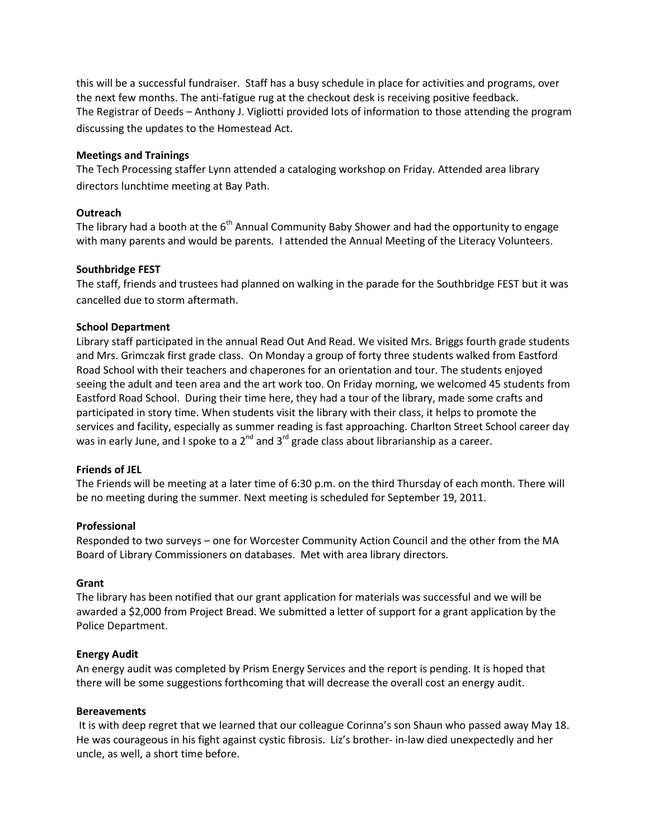this will be a successful fundraiser. Staff has a busy schedule in place for activities and programs, over the next few months. The anti-fatigue rug at the checkout desk is receiving positive feedback. The Registrar of Deeds – Anthony J. Vigliotti provided lots of information to those attending the program discussing the updates to the Homestead Act.

#### **Meetings and Trainings**

The Tech Processing staffer Lynn attended a cataloging workshop on Friday. Attended area library directors lunchtime meeting at Bay Path.

#### **Outreach**

The library had a booth at the  $6<sup>th</sup>$  Annual Community Baby Shower and had the opportunity to engage with many parents and would be parents. I attended the Annual Meeting of the Literacy Volunteers.

#### **Southbridge FEST**

The staff, friends and trustees had planned on walking in the parade for the Southbridge FEST but it was cancelled due to storm aftermath.

#### **School Department**

Library staff participated in the annual Read Out And Read. We visited Mrs. Briggs fourth grade students and Mrs. Grimczak first grade class. On Monday a group of forty three students walked from Eastford Road School with their teachers and chaperones for an orientation and tour. The students enjoyed seeing the adult and teen area and the art work too. On Friday morning, we welcomed 45 students from Eastford Road School. During their time here, they had a tour of the library, made some crafts and participated in story time. When students visit the library with their class, it helps to promote the services and facility, especially as summer reading is fast approaching. Charlton Street School career day was in early June, and I spoke to a  $2^{nd}$  and  $3^{rd}$  grade class about librarianship as a career.

### **Friends of JEL**

The Friends will be meeting at a later time of 6:30 p.m. on the third Thursday of each month. There will be no meeting during the summer. Next meeting is scheduled for September 19, 2011.

#### **Professional**

Responded to two surveys – one for Worcester Community Action Council and the other from the MA Board of Library Commissioners on databases. Met with area library directors.

#### **Grant**

The library has been notified that our grant application for materials was successful and we will be awarded a \$2,000 from Project Bread. We submitted a letter of support for a grant application by the Police Department.

### **Energy Audit**

An energy audit was completed by Prism Energy Services and the report is pending. It is hoped that there will be some suggestions forthcoming that will decrease the overall cost an energy audit.

### **Bereavements**

It is with deep regret that we learned that our colleague Corinna's son Shaun who passed away May 18. He was courageous in his fight against cystic fibrosis. Liz's brother- in-law died unexpectedly and her uncle, as well, a short time before.